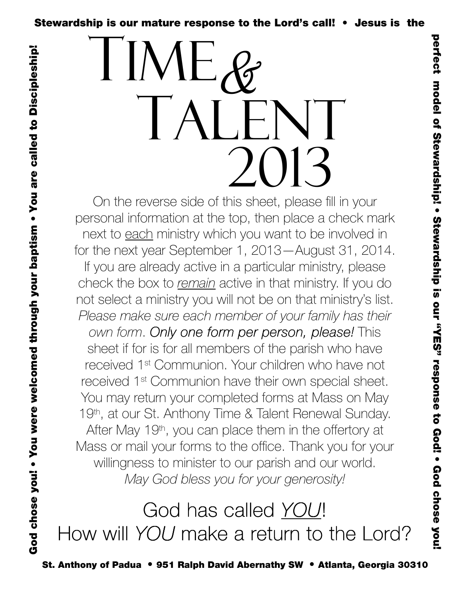

On the reverse side of this sheet, please fill in your personal information at the top, then place a check mark next to each ministry which you want to be involved in for the next year September 1, 2013—August 31, 2014. If you are already active in a particular ministry, please check the box to remain active in that ministry. If you do not select a ministry you will not be on that ministry's list. Please make sure each member of your family has their own form. Only one form per person, please! This sheet if for is for all members of the parish who have received 1st Communion. Your children who have not received 1st Communion have their own special sheet. You may return your completed forms at Mass on May 19th, at our St. Anthony Time & Talent Renewal Sunday. After May 19th, you can place them in the offertory at Mass or mail your forms to the office. Thank you for your willingness to minister to our parish and our world. May God bless you for your generosity!

God chose you! • You were welcomed through your baptism • You are called to Discipleship!

God chose you! • You were welcomed through your baptism • You are called to Discipleship!

God has called YOU! How will YOU make a return to the Lord?

St. Anthony of Padua • 951 Ralph David Abernathy SW • Atlanta, Georgia 30310